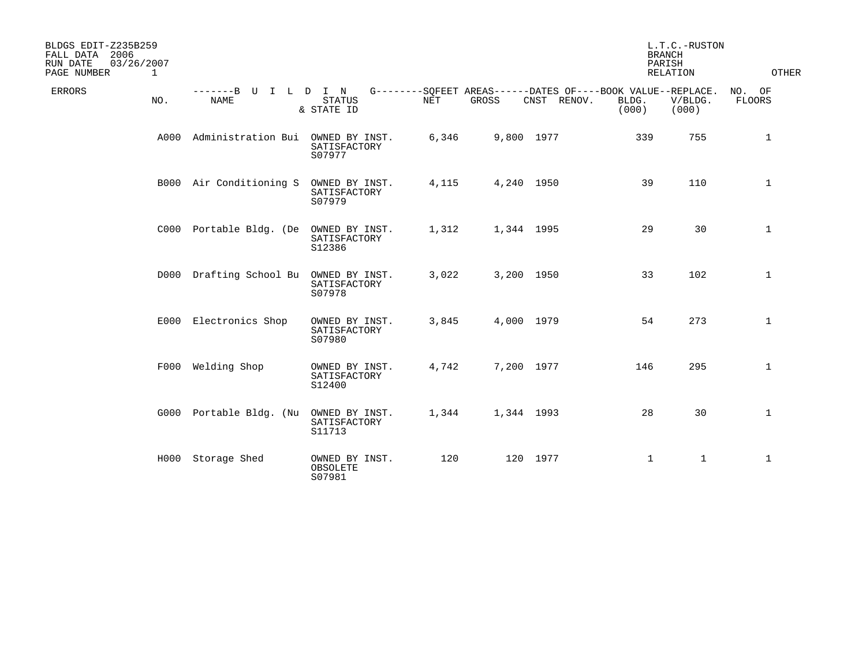| BLDGS EDIT-Z235B259<br>FALL DATA 2006<br>03/26/2007<br>RUN DATE<br>PAGE NUMBER<br>$\mathbf{1}$ |                                     |                                          |       |            |             |                                                                               | L.T.C.-RUSTON<br><b>BRANCH</b><br>PARISH<br>RELATION | OTHER                   |
|------------------------------------------------------------------------------------------------|-------------------------------------|------------------------------------------|-------|------------|-------------|-------------------------------------------------------------------------------|------------------------------------------------------|-------------------------|
| <b>ERRORS</b><br>NO.                                                                           | -------B U I L D I N<br><b>NAME</b> | <b>STATUS</b><br>& STATE ID              | NET   | GROSS      | CNST RENOV. | G--------SQFEET AREAS------DATES OF----BOOK VALUE--REPLACE.<br>BLDG.<br>(000) | V/BLDG.<br>(000)                                     | NO. OF<br><b>FLOORS</b> |
| A000                                                                                           | Administration Bui                  | OWNED BY INST.<br>SATISFACTORY<br>S07977 | 6,346 | 9,800 1977 |             | 339                                                                           | 755                                                  | $\mathbf{1}$            |
|                                                                                                | B000 Air Conditioning S             | OWNED BY INST.<br>SATISFACTORY<br>S07979 | 4,115 | 4,240 1950 |             | 39                                                                            | 110                                                  | $\mathbf{1}$            |
|                                                                                                | C000 Portable Bldg. (De             | OWNED BY INST.<br>SATISFACTORY<br>S12386 | 1,312 | 1,344 1995 |             | 29                                                                            | 30                                                   | $\mathbf{1}$            |
|                                                                                                | D000 Drafting School Bu             | OWNED BY INST.<br>SATISFACTORY<br>S07978 | 3,022 | 3,200 1950 |             | 33                                                                            | 102                                                  | $\mathbf{1}$            |
|                                                                                                | E000 Electronics Shop               | OWNED BY INST.<br>SATISFACTORY<br>S07980 | 3,845 | 4,000 1979 |             | 54                                                                            | 273                                                  | $\mathbf{1}$            |
|                                                                                                | F000 Welding Shop                   | OWNED BY INST.<br>SATISFACTORY<br>S12400 | 4,742 | 7,200 1977 |             | 146                                                                           | 295                                                  | $\mathbf{1}$            |
|                                                                                                | G000 Portable Bldg. (Nu             | OWNED BY INST.<br>SATISFACTORY<br>S11713 | 1,344 | 1,344 1993 |             | 28                                                                            | 30                                                   | $\mathbf{1}$            |
|                                                                                                | H000 Storage Shed                   | OWNED BY INST.<br>OBSOLETE<br>S07981     | 120   |            | 120 1977    | $\mathbf{1}$                                                                  | $\mathbf{1}$                                         | $\mathbf{1}$            |